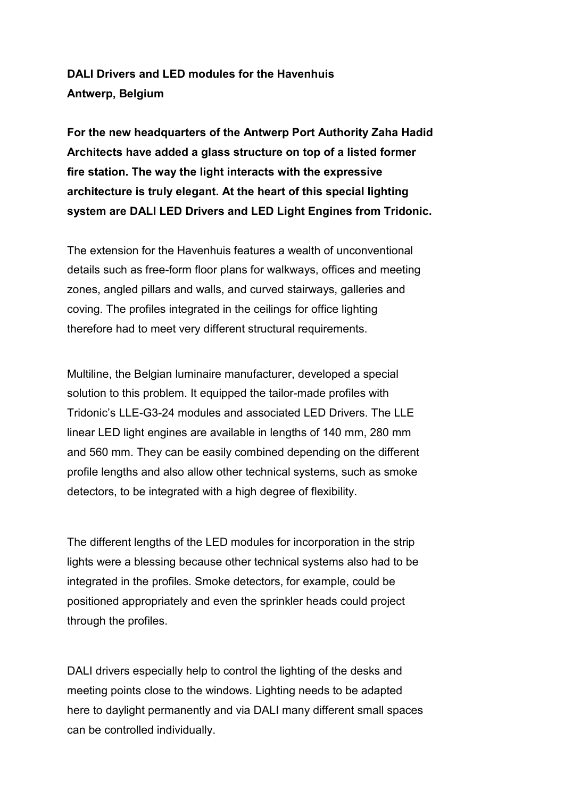**DALI Drivers and LED modules for the Havenhuis Antwerp, Belgium**

**For the new headquarters of the Antwerp Port Authority Zaha Hadid Architects have added a glass structure on top of a listed former fire station. The way the light interacts with the expressive architecture is truly elegant. At the heart of this special lighting system are DALI LED Drivers and LED Light Engines from Tridonic.**

The extension for the Havenhuis features a wealth of unconventional details such as free-form floor plans for walkways, offices and meeting zones, angled pillars and walls, and curved stairways, galleries and coving. The profiles integrated in the ceilings for office lighting therefore had to meet very different structural requirements.

Multiline, the Belgian luminaire manufacturer, developed a special solution to this problem. It equipped the tailor-made profiles with Tridonic's LLE-G3-24 modules and associated LED Drivers. The LLE linear LED light engines are available in lengths of 140 mm, 280 mm and 560 mm. They can be easily combined depending on the different profile lengths and also allow other technical systems, such as smoke detectors, to be integrated with a high degree of flexibility.

The different lengths of the LED modules for incorporation in the strip lights were a blessing because other technical systems also had to be integrated in the profiles. Smoke detectors, for example, could be positioned appropriately and even the sprinkler heads could project through the profiles.

DALI drivers especially help to control the lighting of the desks and meeting points close to the windows. Lighting needs to be adapted here to daylight permanently and via DALI many different small spaces can be controlled individually.